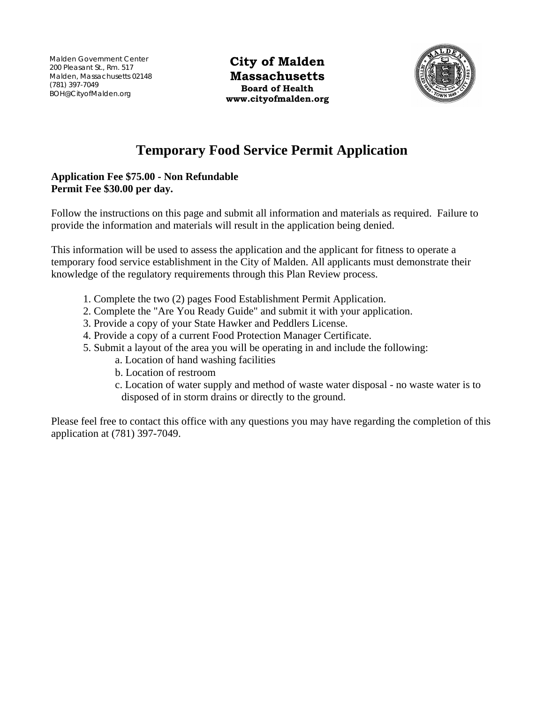(101) 391-1049<br>BOH@CityofMalden.org Malden Government Center 200 Pleasant St., Rm. 517 Malden, Massachusetts 02148 (781) 397-7049

**City of Malden Massachusetts Board of Health www.cityofmalden.org** 



# **Temporary Food Service Permit Application**

# **Application Fee \$75.00 - Non Refundable Permit Fee \$30.00 per day.**

Follow the instructions on this page and submit all information and materials as required. Failure to provide the information and materials will result in the application being denied.

This information will be used to assess the application and the applicant for fitness to operate a temporary food service establishment in the City of Malden. All applicants must demonstrate their knowledge of the regulatory requirements through this Plan Review process.

- 1. Complete the two (2) pages Food Establishment Permit Application.
- 2. Complete the "Are You Ready Guide" and submit it with your application.
- 3. Provide a copy of your State Hawker and Peddlers License.
- 4. Provide a copy of a current Food Protection Manager Certificate.
- 5. Submit a layout of the area you will be operating in and include the following:
	- a. Location of hand washing facilities
	- b. Location of restroom
	- c. Location of water supply and method of waste water disposal no waste water is to disposed of in storm drains or directly to the ground.

Please feel free to contact this office with any questions you may have regarding the completion of this application at (781) 397-7049.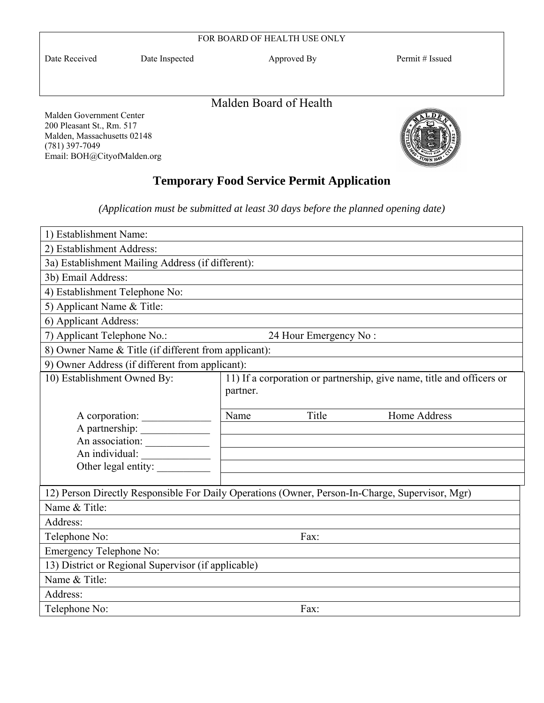|                                                                                      |                | FOR BOARD OF HEALTH USE ONLY |                 |
|--------------------------------------------------------------------------------------|----------------|------------------------------|-----------------|
| Date Received                                                                        | Date Inspected | Approved By                  | Permit # Issued |
|                                                                                      |                | Malden Board of Health       |                 |
| Malden Government Center<br>200 Pleasant St., Rm. 517<br>Malden, Massachusetts 02148 |                |                              |                 |

# **Temporary Food Service Permit Application**

(781) 397-7049

Email: BOH@CityofMalden.org

*(Application must be submitted at least 30 days before the planned opening date)* 

| 1) Establishment Name:                                                                          |          |                       |                                                                       |
|-------------------------------------------------------------------------------------------------|----------|-----------------------|-----------------------------------------------------------------------|
| 2) Establishment Address:                                                                       |          |                       |                                                                       |
| 3a) Establishment Mailing Address (if different):                                               |          |                       |                                                                       |
| 3b) Email Address:                                                                              |          |                       |                                                                       |
| 4) Establishment Telephone No:                                                                  |          |                       |                                                                       |
| 5) Applicant Name & Title:                                                                      |          |                       |                                                                       |
| 6) Applicant Address:                                                                           |          |                       |                                                                       |
| 7) Applicant Telephone No.:                                                                     |          | 24 Hour Emergency No: |                                                                       |
| 8) Owner Name & Title (if different from applicant):                                            |          |                       |                                                                       |
| 9) Owner Address (if different from applicant):                                                 |          |                       |                                                                       |
| 10) Establishment Owned By:                                                                     |          |                       | 11) If a corporation or partnership, give name, title and officers or |
|                                                                                                 | partner. |                       |                                                                       |
|                                                                                                 |          |                       |                                                                       |
| A corporation:                                                                                  | Name     | Title                 | Home Address                                                          |
| A partnership:                                                                                  |          |                       |                                                                       |
| An association:                                                                                 |          |                       |                                                                       |
| An individual:<br>Other legal entity:                                                           |          |                       |                                                                       |
|                                                                                                 |          |                       |                                                                       |
| 12) Person Directly Responsible For Daily Operations (Owner, Person-In-Charge, Supervisor, Mgr) |          |                       |                                                                       |
| Name & Title:                                                                                   |          |                       |                                                                       |
| Address:                                                                                        |          |                       |                                                                       |
| Telephone No:<br>Fax:                                                                           |          |                       |                                                                       |
| Emergency Telephone No:                                                                         |          |                       |                                                                       |
| 13) District or Regional Supervisor (if applicable)                                             |          |                       |                                                                       |
| Name & Title:                                                                                   |          |                       |                                                                       |
| Address:                                                                                        |          |                       |                                                                       |
| Telephone No:                                                                                   |          | Fax:                  |                                                                       |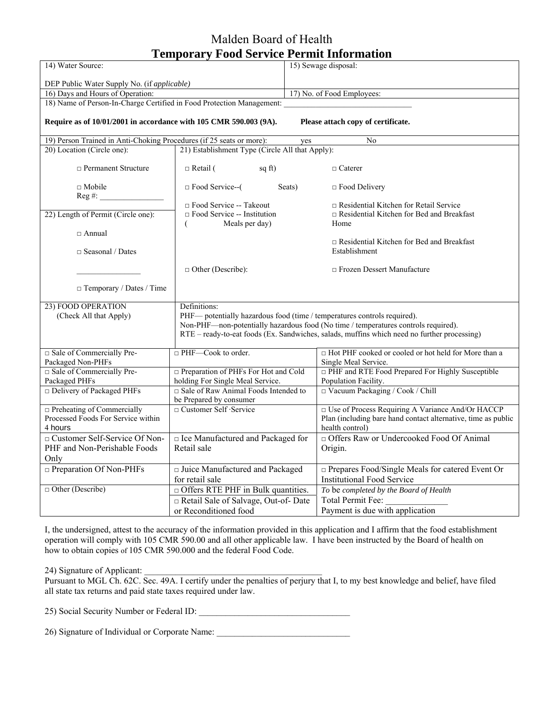# Malden Board of Health **Temporary Food Service Permit Information**

|                                                                         | Temporary Food Service I erniu milormation           |                                                                                             |  |
|-------------------------------------------------------------------------|------------------------------------------------------|---------------------------------------------------------------------------------------------|--|
| 14) Water Source:                                                       |                                                      | 15) Sewage disposal:                                                                        |  |
| DEP Public Water Supply No. (if applicable)                             |                                                      |                                                                                             |  |
| 16) Days and Hours of Operation:                                        |                                                      | 17) No. of Food Employees:                                                                  |  |
| 18) Name of Person-In-Charge Certified in Food Protection Management:   |                                                      |                                                                                             |  |
| Require as of 10/01/2001 in accordance with 105 CMR 590.003 (9A).       |                                                      | Please attach copy of certificate.                                                          |  |
| 19) Person Trained in Anti-Choking Procedures (if 25 seats or more):    |                                                      | $\overline{No}$<br>yes                                                                      |  |
| 20) Location (Circle one):                                              | 21) Establishment Type (Circle All that Apply):      |                                                                                             |  |
| $\Box$ Permanent Structure                                              | $\Box$ Retail (<br>$sq$ ft)                          | $\Box$ Caterer                                                                              |  |
| $\Box$ Mobile<br>$Reg \#:\_$                                            | $\Box$ Food Service-- $($<br>Seats)                  | $\Box$ Food Delivery                                                                        |  |
|                                                                         | □ Food Service -- Takeout                            | $\Box$ Residential Kitchen for Retail Service                                               |  |
| 22) Length of Permit (Circle one):                                      | $\Box$ Food Service -- Institution<br>Meals per day) | $\Box$ Residential Kitchen for Bed and Breakfast<br>Home                                    |  |
| $\sqcap$ Annual                                                         |                                                      |                                                                                             |  |
|                                                                         |                                                      | $\Box$ Residential Kitchen for Bed and Breakfast                                            |  |
| $\Box$ Seasonal / Dates                                                 |                                                      | Establishment                                                                               |  |
|                                                                         | $\Box$ Other (Describe):                             | $\Box$ Frozen Dessert Manufacture                                                           |  |
| □ Temporary / Dates / Time                                              |                                                      |                                                                                             |  |
| 23) FOOD OPERATION                                                      | Definitions:                                         |                                                                                             |  |
| (Check All that Apply)                                                  |                                                      | PHF— potentially hazardous food (time / temperatures controls required).                    |  |
|                                                                         |                                                      | Non-PHF—non-potentially hazardous food (No time / temperatures controls required).          |  |
|                                                                         |                                                      | RTE - ready-to-eat foods (Ex. Sandwiches, salads, muffins which need no further processing) |  |
| □ Sale of Commercially Pre-                                             | $\Box$ PHF—Cook to order.                            | □ Hot PHF cooked or cooled or hot held for More than a                                      |  |
| Packaged Non-PHFs                                                       |                                                      | Single Meal Service.                                                                        |  |
| □ Sale of Commercially Pre-                                             | □ Preparation of PHFs For Hot and Cold               | □ PHF and RTE Food Prepared For Highly Susceptible                                          |  |
| Packaged PHFs                                                           | holding For Single Meal Service.                     | Population Facility.                                                                        |  |
| $\Box$ Delivery of Packaged PHFs                                        | $\Box$ Sale of Raw Animal Foods Intended to          | $\Box$ Vacuum Packaging / Cook / Chill                                                      |  |
|                                                                         | be Prepared by consumer                              |                                                                                             |  |
| $\Box$ Preheating of Commercially<br>Processed Foods For Service within | □ Customer Self · Service                            | □ Use of Process Requiring A Variance And/Or HACCP                                          |  |
| 4 hours                                                                 |                                                      | Plan (including bare hand contact alternative, time as public<br>health control)            |  |
| □ Customer Self-Service Of Non-                                         | □ Ice Manufactured and Packaged for                  | □ Offers Raw or Undercooked Food Of Animal                                                  |  |
| PHF and Non-Perishable Foods                                            | Retail sale                                          | Origin.                                                                                     |  |
| Only                                                                    |                                                      |                                                                                             |  |
| $\Box$ Preparation Of Non-PHFs                                          | □ Juice Manufactured and Packaged                    | □ Prepares Food/Single Meals for catered Event Or                                           |  |
|                                                                         | for retail sale                                      | <b>Institutional Food Service</b>                                                           |  |
| $\Box$ Other (Describe)                                                 | $\Box$ Offers RTE PHF in Bulk quantities.            | To be completed by the Board of Health                                                      |  |
|                                                                         | Retail Sale of Salvage, Out-of-Date                  | Total Permit Fee:                                                                           |  |
|                                                                         | or Reconditioned food                                | Payment is due with application                                                             |  |
|                                                                         |                                                      |                                                                                             |  |

I, the undersigned, attest to the accuracy of the information provided in this application and I affirm that the food establishment operation will comply with 105 CMR 590.00 and all other applicable law. I have been instructed by the Board of health on how to obtain copies of 105 CMR 590.000 and the federal Food Code.

### 24) Signature of Applicant:

Pursuant to MGL Ch. 62C. Sec. 49A. I certify under the penalties of perjury that I, to my best knowledge and belief, have filed all state tax returns and paid state taxes required under law.

25) Social Security Number or Federal ID: \_\_\_\_\_\_\_\_\_\_\_\_\_\_\_\_\_\_\_\_\_\_\_\_\_\_\_\_\_\_\_\_\_\_

26) Signature of Individual or Corporate Name: \_\_\_\_\_\_\_\_\_\_\_\_\_\_\_\_\_\_\_\_\_\_\_\_\_\_\_\_\_\_\_\_\_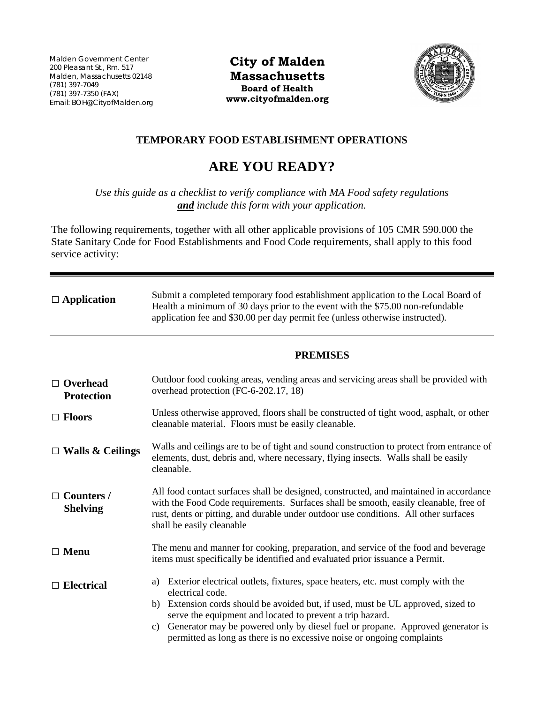Malden Government Center 200 Pleasant St., Rm. 517 Malden, Massachusetts 02148 (781) 397-7049 (781) 397-7350 (FAX) Email: BOH@CityofMalden.org

**City of Malden Massachusetts Board of Health www.cityofmalden.org**



# **TEMPORARY FOOD ESTABLISHMENT OPERATIONS**

# **ARE YOU READY?**

*Use this guide as a checklist to verify compliance with MA Food safety regulations and include this form with your application.*

The following requirements, together with all other applicable provisions of 105 CMR 590.000 the State Sanitary Code for Food Establishments and Food Code requirements, shall apply to this food service activity:

| $\Box$ Application                   | Submit a completed temporary food establishment application to the Local Board of<br>Health a minimum of 30 days prior to the event with the \$75.00 non-refundable<br>application fee and \$30.00 per day permit fee (unless otherwise instructed).                                                                                                                                                                            |  |
|--------------------------------------|---------------------------------------------------------------------------------------------------------------------------------------------------------------------------------------------------------------------------------------------------------------------------------------------------------------------------------------------------------------------------------------------------------------------------------|--|
|                                      | <b>PREMISES</b>                                                                                                                                                                                                                                                                                                                                                                                                                 |  |
| $\Box$ Overhead<br><b>Protection</b> | Outdoor food cooking areas, vending areas and servicing areas shall be provided with<br>overhead protection (FC-6-202.17, 18)                                                                                                                                                                                                                                                                                                   |  |
| $\Box$ Floors                        | Unless otherwise approved, floors shall be constructed of tight wood, asphalt, or other<br>cleanable material. Floors must be easily cleanable.                                                                                                                                                                                                                                                                                 |  |
| $\Box$ Walls & Ceilings              | Walls and ceilings are to be of tight and sound construction to protect from entrance of<br>elements, dust, debris and, where necessary, flying insects. Walls shall be easily<br>cleanable.                                                                                                                                                                                                                                    |  |
| $\Box$ Counters /<br><b>Shelving</b> | All food contact surfaces shall be designed, constructed, and maintained in accordance<br>with the Food Code requirements. Surfaces shall be smooth, easily cleanable, free of<br>rust, dents or pitting, and durable under outdoor use conditions. All other surfaces<br>shall be easily cleanable                                                                                                                             |  |
| $\Box$ Menu                          | The menu and manner for cooking, preparation, and service of the food and beverage<br>items must specifically be identified and evaluated prior issuance a Permit.                                                                                                                                                                                                                                                              |  |
| $\Box$ Electrical                    | Exterior electrical outlets, fixtures, space heaters, etc. must comply with the<br>a)<br>electrical code.<br>Extension cords should be avoided but, if used, must be UL approved, sized to<br>b)<br>serve the equipment and located to prevent a trip hazard.<br>Generator may be powered only by diesel fuel or propane. Approved generator is<br>c)<br>permitted as long as there is no excessive noise or ongoing complaints |  |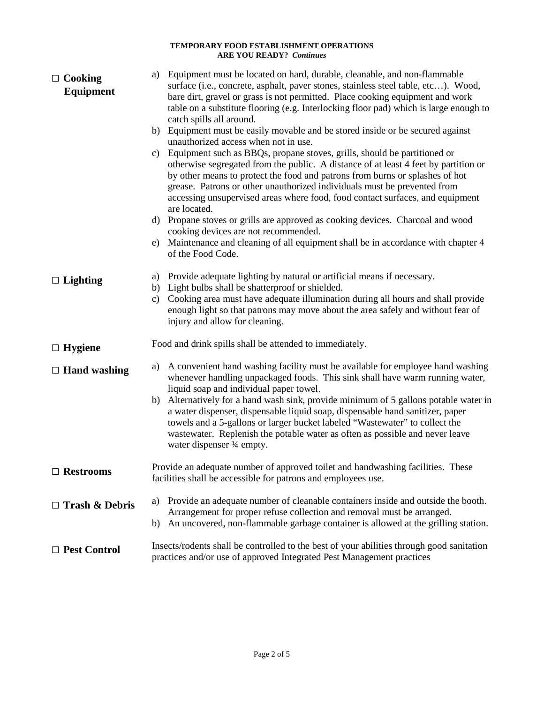#### **TEMPORARY FOOD ESTABLISHMENT OPERATIONS ARE YOU READY?** *Continues*

| $\Box$ Cooking<br><b>Equipment</b> | a) Equipment must be located on hard, durable, cleanable, and non-flammable<br>surface (i.e., concrete, asphalt, paver stones, stainless steel table, etc). Wood,<br>bare dirt, gravel or grass is not permitted. Place cooking equipment and work<br>table on a substitute flooring (e.g. Interlocking floor pad) which is large enough to<br>catch spills all around.                                                            |
|------------------------------------|------------------------------------------------------------------------------------------------------------------------------------------------------------------------------------------------------------------------------------------------------------------------------------------------------------------------------------------------------------------------------------------------------------------------------------|
|                                    | Equipment must be easily movable and be stored inside or be secured against<br>b)<br>unauthorized access when not in use.                                                                                                                                                                                                                                                                                                          |
|                                    | Equipment such as BBQs, propane stoves, grills, should be partitioned or<br>c)<br>otherwise segregated from the public. A distance of at least 4 feet by partition or<br>by other means to protect the food and patrons from burns or splashes of hot<br>grease. Patrons or other unauthorized individuals must be prevented from<br>accessing unsupervised areas where food, food contact surfaces, and equipment<br>are located. |
|                                    | Propane stoves or grills are approved as cooking devices. Charcoal and wood<br>d)                                                                                                                                                                                                                                                                                                                                                  |
|                                    | cooking devices are not recommended.<br>Maintenance and cleaning of all equipment shall be in accordance with chapter 4<br>e)<br>of the Food Code.                                                                                                                                                                                                                                                                                 |
| $\Box$ Lighting                    | a) Provide adequate lighting by natural or artificial means if necessary.<br>b) Light bulbs shall be shatterproof or shielded.<br>Cooking area must have adequate illumination during all hours and shall provide<br>c)<br>enough light so that patrons may move about the area safely and without fear of                                                                                                                         |
|                                    | injury and allow for cleaning.                                                                                                                                                                                                                                                                                                                                                                                                     |
| $\Box$ Hygiene                     | Food and drink spills shall be attended to immediately.                                                                                                                                                                                                                                                                                                                                                                            |
| $\Box$ Hand washing                | A convenient hand washing facility must be available for employee hand washing<br>a)<br>whenever handling unpackaged foods. This sink shall have warm running water,<br>liquid soap and individual paper towel.                                                                                                                                                                                                                    |
|                                    | b) Alternatively for a hand wash sink, provide minimum of 5 gallons potable water in<br>a water dispenser, dispensable liquid soap, dispensable hand sanitizer, paper<br>towels and a 5-gallons or larger bucket labeled "Wastewater" to collect the<br>wastewater. Replenish the potable water as often as possible and never leave<br>water dispenser 3⁄4 empty.                                                                 |
| $\Box$ Restrooms                   | Provide an adequate number of approved toilet and handwashing facilities. These<br>facilities shall be accessible for patrons and employees use.                                                                                                                                                                                                                                                                                   |
| $\Box$ Trash & Debris              | Provide an adequate number of cleanable containers inside and outside the booth.<br>a)<br>Arrangement for proper refuse collection and removal must be arranged.<br>b) An uncovered, non-flammable garbage container is allowed at the grilling station.                                                                                                                                                                           |
| □ Pest Control                     | Insects/rodents shall be controlled to the best of your abilities through good sanitation<br>practices and/or use of approved Integrated Pest Management practices                                                                                                                                                                                                                                                                 |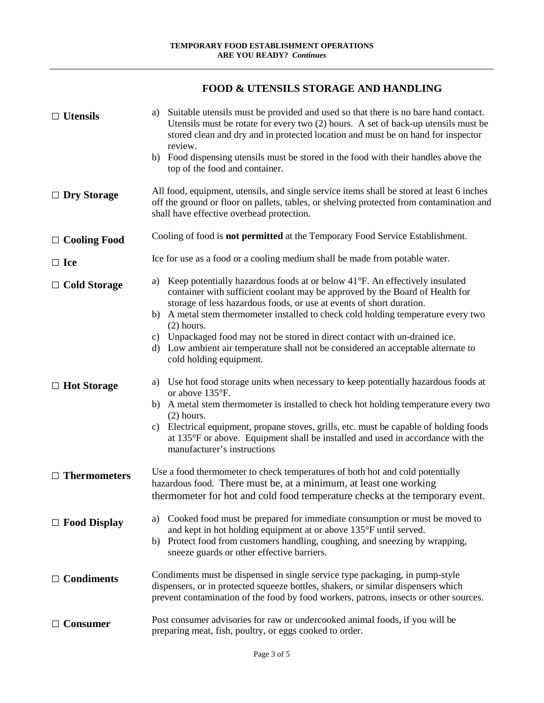# **FOOD & UTENSILS STORAGE AND HANDLING**

| $\Box$ Utensils                           | Suitable utensils must be provided and used so that there is no bare hand contact.<br>a)<br>Utensils must be rotate for every two $(2)$ hours. A set of back-up utensils must be<br>stored clean and dry and in protected location and must be on hand for inspector<br>review.<br>b) Food dispensing utensils must be stored in the food with their handles above the<br>top of the food and container.                                                                                                                                                                                                                                                                                                                                                                                                                                                                                                                                                          |
|-------------------------------------------|-------------------------------------------------------------------------------------------------------------------------------------------------------------------------------------------------------------------------------------------------------------------------------------------------------------------------------------------------------------------------------------------------------------------------------------------------------------------------------------------------------------------------------------------------------------------------------------------------------------------------------------------------------------------------------------------------------------------------------------------------------------------------------------------------------------------------------------------------------------------------------------------------------------------------------------------------------------------|
| $\Box$ Dry Storage                        | All food, equipment, utensils, and single service items shall be stored at least 6 inches<br>off the ground or floor on pallets, tables, or shelving protected from contamination and<br>shall have effective overhead protection.                                                                                                                                                                                                                                                                                                                                                                                                                                                                                                                                                                                                                                                                                                                                |
| $\Box$ Cooling Food                       | Cooling of food is <b>not permitted</b> at the Temporary Food Service Establishment.                                                                                                                                                                                                                                                                                                                                                                                                                                                                                                                                                                                                                                                                                                                                                                                                                                                                              |
| $\Box$ Ice                                | Ice for use as a food or a cooling medium shall be made from potable water.                                                                                                                                                                                                                                                                                                                                                                                                                                                                                                                                                                                                                                                                                                                                                                                                                                                                                       |
| $\Box$ Cold Storage<br>$\Box$ Hot Storage | Keep potentially hazardous foods at or below $41^{\circ}$ F. An effectively insulated<br>a)<br>container with sufficient coolant may be approved by the Board of Health for<br>storage of less hazardous foods, or use at events of short duration.<br>A metal stem thermometer installed to check cold holding temperature every two<br>b)<br>$(2)$ hours.<br>c) Unpackaged food may not be stored in direct contact with un-drained ice.<br>Low ambient air temperature shall not be considered an acceptable alternate to<br>d)<br>cold holding equipment.<br>Use hot food storage units when necessary to keep potentially hazardous foods at<br>a)<br>or above 135°F.<br>b) A metal stem thermometer is installed to check hot holding temperature every two<br>$(2)$ hours.<br>Electrical equipment, propane stoves, grills, etc. must be capable of holding foods<br>C)<br>at 135°F or above. Equipment shall be installed and used in accordance with the |
| $\Box$ Thermometers                       | manufacturer's instructions<br>Use a food thermometer to check temperatures of both hot and cold potentially<br>hazardous food. There must be, at a minimum, at least one working<br>thermometer for hot and cold food temperature checks at the temporary event.                                                                                                                                                                                                                                                                                                                                                                                                                                                                                                                                                                                                                                                                                                 |
| $\Box$ Food Display                       | Cooked food must be prepared for immediate consumption or must be moved to<br>a)<br>and kept in hot holding equipment at or above 135°F until served.<br>Protect food from customers handling, coughing, and sneezing by wrapping,<br>b)<br>sneeze guards or other effective barriers.                                                                                                                                                                                                                                                                                                                                                                                                                                                                                                                                                                                                                                                                            |
| $\Box$ Condiments                         | Condiments must be dispensed in single service type packaging, in pump-style<br>dispensers, or in protected squeeze bottles, shakers, or similar dispensers which<br>prevent contamination of the food by food workers, patrons, insects or other sources.                                                                                                                                                                                                                                                                                                                                                                                                                                                                                                                                                                                                                                                                                                        |
| $\Box$ Consumer                           | Post consumer advisories for raw or undercooked animal foods, if you will be<br>preparing meat, fish, poultry, or eggs cooked to order.                                                                                                                                                                                                                                                                                                                                                                                                                                                                                                                                                                                                                                                                                                                                                                                                                           |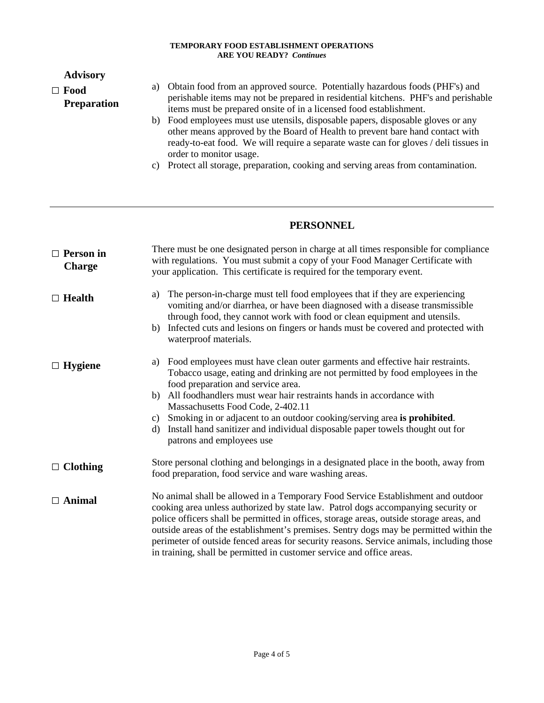#### **TEMPORARY FOOD ESTABLISHMENT OPERATIONS ARE YOU READY?** *Continues*

### **Advisory**

## □ **Food Preparation**

- a) Obtain food from an approved source. Potentially hazardous foods (PHF's) and perishable items may not be prepared in residential kitchens. PHF's and perishable items must be prepared onsite of in a licensed food establishment.
	- b) Food employees must use utensils, disposable papers, disposable gloves or any other means approved by the Board of Health to prevent bare hand contact with ready-to-eat food. We will require a separate waste can for gloves / deli tissues in order to monitor usage.
	- c) Protect all storage, preparation, cooking and serving areas from contamination.

# **PERSONNEL**

| $\Box$ Person in<br><b>Charge</b> | There must be one designated person in charge at all times responsible for compliance<br>with regulations. You must submit a copy of your Food Manager Certificate with<br>your application. This certificate is required for the temporary event.                                                                                                                                                                                                                                                                               |
|-----------------------------------|----------------------------------------------------------------------------------------------------------------------------------------------------------------------------------------------------------------------------------------------------------------------------------------------------------------------------------------------------------------------------------------------------------------------------------------------------------------------------------------------------------------------------------|
| $\Box$ Health                     | The person-in-charge must tell food employees that if they are experiencing<br>a)<br>vomiting and/or diarrhea, or have been diagnosed with a disease transmissible<br>through food, they cannot work with food or clean equipment and utensils.<br>Infected cuts and lesions on fingers or hands must be covered and protected with<br>b)<br>waterproof materials.                                                                                                                                                               |
| $\Box$ Hygiene                    | Food employees must have clean outer garments and effective hair restraints.<br>a)<br>Tobacco usage, eating and drinking are not permitted by food employees in the<br>food preparation and service area.<br>b) All foodhandlers must wear hair restraints hands in accordance with<br>Massachusetts Food Code, 2-402.11<br>Smoking in or adjacent to an outdoor cooking/serving area is prohibited.<br>C)<br>Install hand sanitizer and individual disposable paper towels thought out for<br>d)<br>patrons and employees use   |
| $\Box$ Clothing                   | Store personal clothing and belongings in a designated place in the booth, away from<br>food preparation, food service and ware washing areas.                                                                                                                                                                                                                                                                                                                                                                                   |
| $\Box$ Animal                     | No animal shall be allowed in a Temporary Food Service Establishment and outdoor<br>cooking area unless authorized by state law. Patrol dogs accompanying security or<br>police officers shall be permitted in offices, storage areas, outside storage areas, and<br>outside areas of the establishment's premises. Sentry dogs may be permitted within the<br>perimeter of outside fenced areas for security reasons. Service animals, including those<br>in training, shall be permitted in customer service and office areas. |